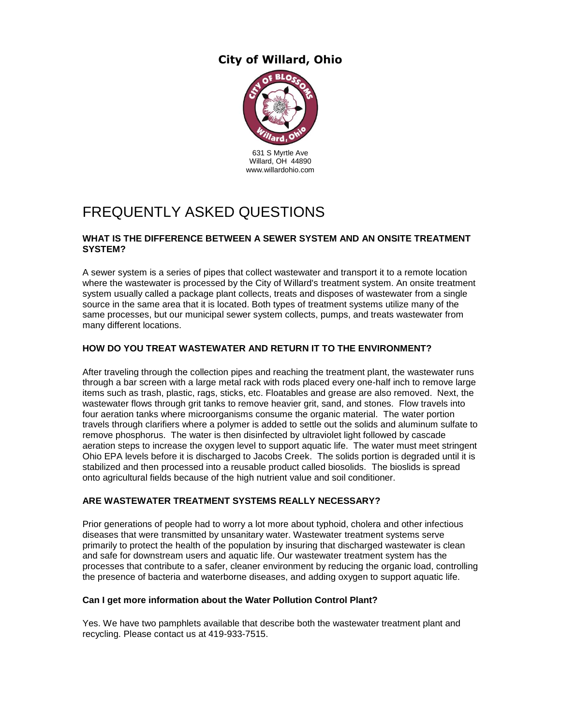## **City of Willard, Ohio**



# FREQUENTLY ASKED QUESTIONS

#### **WHAT IS THE DIFFERENCE BETWEEN A SEWER SYSTEM AND AN ONSITE TREATMENT SYSTEM?**

A sewer system is a series of pipes that collect wastewater and transport it to a remote location where the wastewater is processed by the City of Willard's treatment system. An onsite treatment system usually called a package plant collects, treats and disposes of wastewater from a single source in the same area that it is located. Both types of treatment systems utilize many of the same processes, but our municipal sewer system collects, pumps, and treats wastewater from many different locations.

#### **HOW DO YOU TREAT WASTEWATER AND RETURN IT TO THE ENVIRONMENT?**

After traveling through the collection pipes and reaching the treatment plant, the wastewater runs through a bar screen with a large metal rack with rods placed every one-half inch to remove large items such as trash, plastic, rags, sticks, etc. Floatables and grease are also removed. Next, the wastewater flows through grit tanks to remove heavier grit, sand, and stones. Flow travels into four aeration tanks where microorganisms consume the organic material. The water portion travels through clarifiers where a polymer is added to settle out the solids and aluminum sulfate to remove phosphorus. The water is then disinfected by ultraviolet light followed by cascade aeration steps to increase the oxygen level to support aquatic life. The water must meet stringent Ohio EPA levels before it is discharged to Jacobs Creek. The solids portion is degraded until it is stabilized and then processed into a reusable product called biosolids. The bioslids is spread onto agricultural fields because of the high nutrient value and soil conditioner.

#### **ARE WASTEWATER TREATMENT SYSTEMS REALLY NECESSARY?**

Prior generations of people had to worry a lot more about typhoid, cholera and other infectious diseases that were transmitted by unsanitary water. Wastewater treatment systems serve primarily to protect the health of the population by insuring that discharged wastewater is clean and safe for downstream users and aquatic life. Our wastewater treatment system has the processes that contribute to a safer, cleaner environment by reducing the organic load, controlling the presence of bacteria and waterborne diseases, and adding oxygen to support aquatic life.

#### **Can I get more information about the Water Pollution Control Plant?**

Yes. We have two pamphlets available that describe both the wastewater treatment plant and recycling. Please contact us at 419-933-7515.